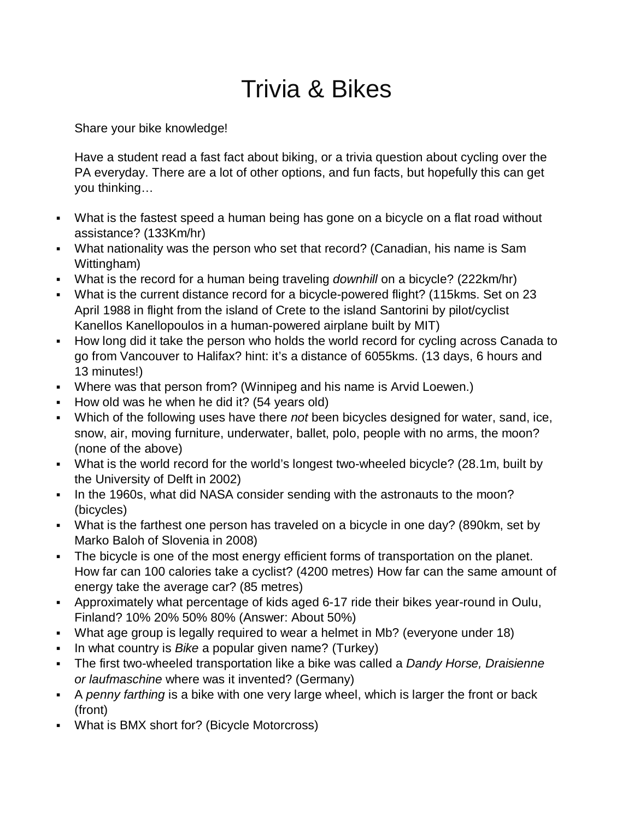## Trivia & Bikes

Share your bike knowledge!

Have a student read a fast fact about biking, or a trivia question about cycling over the PA everyday. There are a lot of other options, and fun facts, but hopefully this can get you thinking…

- What is the fastest speed a human being has gone on a bicycle on a flat road without assistance? (133Km/hr)
- What nationality was the person who set that record? (Canadian, his name is Sam Wittingham)
- What is the record for a human being traveling *downhill* on a bicycle? (222km/hr)
- What is the current distance record for a bicycle-powered flight? (115kms. Set on 23 April 1988 in flight from the island of [Crete](http://en.wikipedia.org/wiki/Crete) to the island [Santorini](http://en.wikipedia.org/wiki/Santorini) by pilot/cyclist Kanellos Kanellopoulos in a human-powered airplane built by MIT)
- How long did it take the person who holds the world record for cycling across Canada to go from Vancouver to Halifax? hint: it's a distance of 6055kms. (13 days, 6 hours and 13 minutes!)
- Where was that person from? (Winnipeg and his name is Arvid Loewen.)
- How old was he when he did it? (54 years old)
- Which of the following uses have there *not* been bicycles designed for water, sand, ice, snow, air, moving furniture, underwater, ballet, polo, people with no arms, the moon? (none of the above)
- What is the world record for the world's longest two-wheeled bicycle? (28.1m, built by the University of Delft in 2002)
- In the 1960s, what did NASA consider sending with the astronauts to the moon? (bicycles)
- What is the farthest one person has traveled on a bicycle in one day? (890km, set by Marko Baloh of Slovenia in 2008)
- The bicycle is one of the most energy efficient forms of transportation on the planet. How far can 100 calories take a cyclist? (4200 metres) How far can the same amount of energy take the average car? (85 metres)
- Approximately what percentage of kids aged 6-17 ride their bikes year-round in Oulu, Finland? 10% 20% 50% 80% (Answer: About 50%)
- What age group is legally required to wear a helmet in Mb? (everyone under 18)
- In what country is *Bike* a popular given name? (Turkey)
- The first two-wheeled transportation like a bike was called a *Dandy Horse, Draisienne or laufmaschine* where was it invented? (Germany)
- A *penny farthing* is a bike with one very large wheel, which is larger the front or back (front)
- What is BMX short for? (Bicycle Motorcross)